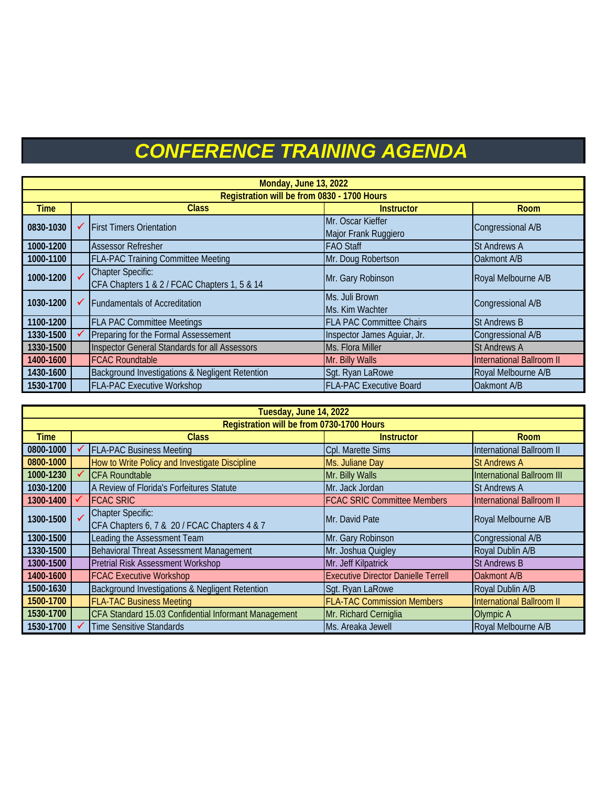## *CONFERENCE TRAINING AGENDA*

| <b>Monday, June 13, 2022</b>                |  |                                                                          |                                           |                                  |
|---------------------------------------------|--|--------------------------------------------------------------------------|-------------------------------------------|----------------------------------|
| Registration will be from 0830 - 1700 Hours |  |                                                                          |                                           |                                  |
| <b>Time</b>                                 |  | <b>Class</b>                                                             | <b>Instructor</b>                         | <b>Room</b>                      |
| 0830-1030                                   |  | <b>First Timers Orientation</b>                                          | Mr. Oscar Kieffer<br>Major Frank Ruggiero | Congressional A/B                |
| 1000-1200                                   |  | <b>Assessor Refresher</b>                                                | <b>FAO Staff</b>                          | <b>St Andrews A</b>              |
| 1000-1100                                   |  | <b>FLA-PAC Training Committee Meeting</b>                                | Mr. Doug Robertson                        | Oakmont A/B                      |
| 1000-1200                                   |  | <b>Chapter Specific:</b><br>CFA Chapters 1 & 2 / FCAC Chapters 1, 5 & 14 | Mr. Gary Robinson                         | Royal Melbourne A/B              |
| 1030-1200                                   |  | <b>Fundamentals of Accreditation</b>                                     | Ms. Juli Brown<br>Ms. Kim Wachter         | <b>Congressional A/B</b>         |
| 1100-1200                                   |  | <b>FLA PAC Committee Meetings</b>                                        | <b>FLA PAC Committee Chairs</b>           | <b>St Andrews B</b>              |
| 1330-1500                                   |  | Preparing for the Formal Assessement                                     | Inspector James Aguiar, Jr.               | <b>Congressional A/B</b>         |
| 1330-1500                                   |  | Inspector General Standards for all Assessors                            | Ms. Flora Miller                          | <b>St Andrews A</b>              |
| 1400-1600                                   |  | <b>FCAC Roundtable</b>                                                   | Mr. Billy Walls                           | <b>International Ballroom II</b> |
| 1430-1600                                   |  | Background Investigations & Negligent Retention                          | Sgt. Ryan LaRowe                          | Royal Melbourne A/B              |
| 1530-1700                                   |  | <b>FLA-PAC Executive Workshop</b>                                        | <b>FLA-PAC Executive Board</b>            | Oakmont A/B                      |

| Tuesday, June 14, 2022                    |  |                                                      |                                            |                                   |
|-------------------------------------------|--|------------------------------------------------------|--------------------------------------------|-----------------------------------|
| Registration will be from 0730-1700 Hours |  |                                                      |                                            |                                   |
| <b>Time</b>                               |  | <b>Class</b>                                         | <b>Instructor</b>                          | <b>Room</b>                       |
| 0800-1000                                 |  | <b>FLA-PAC Business Meeting</b>                      | Cpl. Marette Sims                          | International Ballroom II         |
| 0800-1000                                 |  | How to Write Policy and Investigate Discipline       | Ms. Juliane Day                            | <b>St Andrews A</b>               |
| 1000-1230                                 |  | <b>CFA Roundtable</b>                                | Mr. Billy Walls                            | <b>International Ballroom III</b> |
| 1030-1200                                 |  | A Review of Florida's Forfeitures Statute            | Mr. Jack Jordan                            | <b>St Andrews A</b>               |
| 1300-1400                                 |  | <b>FCAC SRIC</b>                                     | <b>FCAC SRIC Committee Members</b>         | <b>International Ballroom II</b>  |
| 1300-1500                                 |  | <b>Chapter Specific:</b>                             | Mr. David Pate                             | Royal Melbourne A/B               |
|                                           |  | CFA Chapters 6, 7 & 20 / FCAC Chapters 4 & 7         |                                            |                                   |
| 1300-1500                                 |  | Leading the Assessment Team                          | Mr. Gary Robinson                          | Congressional A/B                 |
| 1330-1500                                 |  | Behavioral Threat Assessment Management              | Mr. Joshua Quigley                         | Royal Dublin A/B                  |
| 1300-1500                                 |  | Pretrial Risk Assessment Workshop                    | Mr. Jeff Kilpatrick                        | <b>St Andrews B</b>               |
| 1400-1600                                 |  | <b>FCAC Executive Workshop</b>                       | <b>Executive Director Danielle Terrell</b> | Oakmont A/B                       |
| 1500-1630                                 |  | Background Investigations & Negligent Retention      | Sgt. Ryan LaRowe                           | Royal Dublin A/B                  |
| 1500-1700                                 |  | <b>FLA-TAC Business Meeting</b>                      | <b>FLA-TAC Commission Members</b>          | International Ballroom II         |
| 1530-1700                                 |  | CFA Standard 15.03 Confidential Informant Management | Mr. Richard Cerniglia                      | Olympic A                         |
| 1530-1700                                 |  | <b>Time Sensitive Standards</b>                      | Ms. Areaka Jewell                          | Royal Melbourne A/B               |